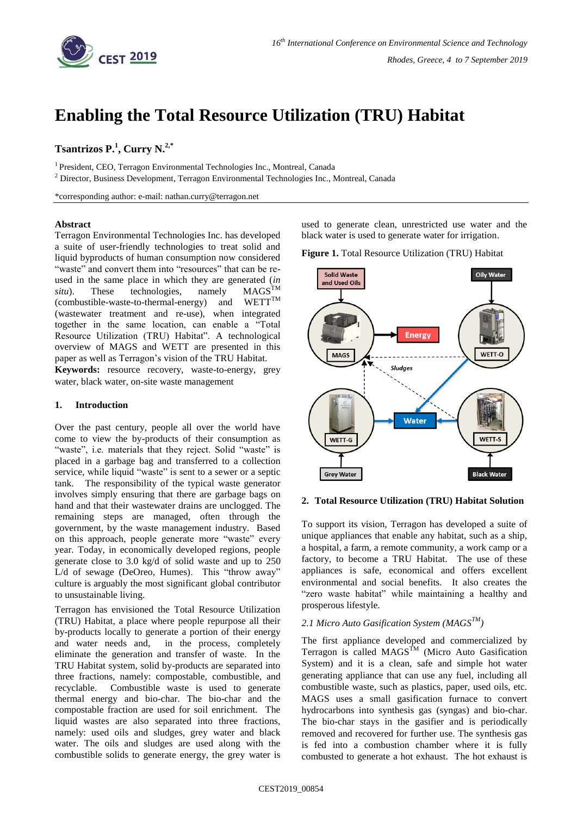

# **Enabling the Total Resource Utilization (TRU) Habitat**

# **Tsantrizos P. 1 , Curry N. 2,\***

<sup>1</sup> President, CEO, Terragon Environmental Technologies Inc., Montreal, Canada

<sup>2</sup> Director, Business Development, Terragon Environmental Technologies Inc., Montreal, Canada

\*corresponding author: e-mail: nathan.curry@terragon.net

#### **Abstract**

Terragon Environmental Technologies Inc. has developed a suite of user-friendly technologies to treat solid and liquid byproducts of human consumption now considered "waste" and convert them into "resources" that can be reused in the same place in which they are generated  $(in$ <br>*situ*). These technologies. namely  $MAGS^{TM}$ *situ*). These technologies, namely  $MAGS^{TM}$ <br>(combustible-waste-to-thermal-energy) and  $WETT^{TM}$ (combustible-waste-to-thermal-energy) and (wastewater treatment and re-use), when integrated together in the same location, can enable a "Total Resource Utilization (TRU) Habitat". A technological overview of MAGS and WETT are presented in this paper as well as Terragon's vision of the TRU Habitat.

**Keywords:** resource recovery, waste-to-energy, grey water, black water, on-site waste management

## **1. Introduction**

Over the past century, people all over the world have come to view the by-products of their consumption as "waste", i.e. materials that they reject. Solid "waste" is placed in a garbage bag and transferred to a collection service, while liquid "waste" is sent to a sewer or a septic tank. The responsibility of the typical waste generator involves simply ensuring that there are garbage bags on hand and that their wastewater drains are unclogged. The remaining steps are managed, often through the government, by the waste management industry. Based on this approach, people generate more "waste" every year. Today, in economically developed regions, people generate close to 3.0 kg/d of solid waste and up to 250 L/d of sewage (DeOreo, Humes). This "throw away" culture is arguably the most significant global contributor to unsustainable living.

Terragon has envisioned the Total Resource Utilization (TRU) Habitat, a place where people repurpose all their by-products locally to generate a portion of their energy and water needs and, in the process, completely eliminate the generation and transfer of waste. In the TRU Habitat system, solid by-products are separated into three fractions, namely: compostable, combustible, and recyclable. Combustible waste is used to generate thermal energy and bio-char. The bio-char and the compostable fraction are used for soil enrichment. The liquid wastes are also separated into three fractions, namely: used oils and sludges, grey water and black water. The oils and sludges are used along with the combustible solids to generate energy, the grey water is used to generate clean, unrestricted use water and the black water is used to generate water for irrigation.

**Figure 1.** Total Resource Utilization (TRU) Habitat



#### **2. Total Resource Utilization (TRU) Habitat Solution**

To support its vision, Terragon has developed a suite of unique appliances that enable any habitat, such as a ship, a hospital, a farm, a remote community, a work camp or a factory, to become a TRU Habitat. The use of these appliances is safe, economical and offers excellent environmental and social benefits. It also creates the "zero waste habitat" while maintaining a healthy and prosperous lifestyle.

### *2.1 Micro Auto Gasification System (MAGSTM)*

The first appliance developed and commercialized by Terragon is called  $MAGS^{TM}$  (Micro Auto Gasification System) and it is a clean, safe and simple hot water generating appliance that can use any fuel, including all combustible waste, such as plastics, paper, used oils, etc. MAGS uses a small gasification furnace to convert hydrocarbons into synthesis gas (syngas) and bio-char. The bio-char stays in the gasifier and is periodically removed and recovered for further use. The synthesis gas is fed into a combustion chamber where it is fully combusted to generate a hot exhaust. The hot exhaust is